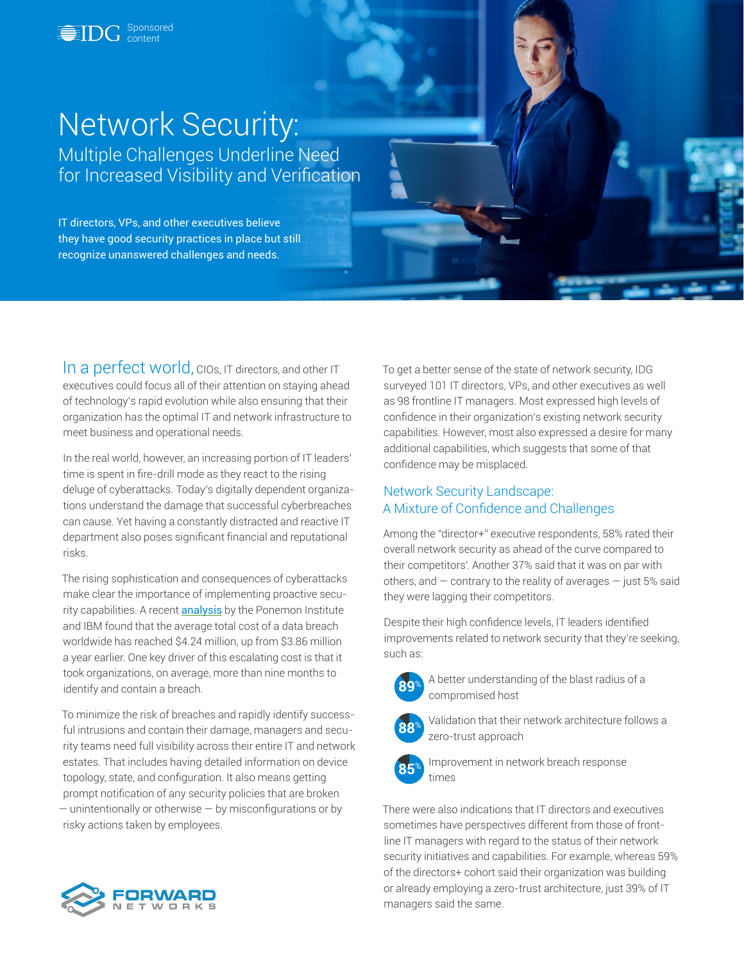

# Network Security: Multiple Challenges Underline Need for Increased Visibility and Verification

IT directors, VPs, and other executives believe they have good security practices in place but still recognize unanswered challenges and needs.

In a perfect world, CIOs, IT directors, and other IT executives could focus all of their attention on staying ahead of technology's rapid evolution while also ensuring that their organization has the optimal IT and network infrastructure to meet business and operational needs.

In the real world, however, an increasing portion of IT leaders' time is spent in fire-drill mode as they react to the rising deluge of cyberattacks. Today's digitally dependent organizations understand the damage that successful cyberbreaches can cause. Yet having a constantly distracted and reactive IT department also poses significant financial and reputational risks.

The rising sophistication and consequences of cyberattacks make clear the importance of implementing proactive security capabilities. A recent **[analysis](https://www.ibm.com/downloads/cas/OJDVQGRY)** by the Ponemon Institute and IBM found that the average total cost of a data breach worldwide has reached \$4.24 million, up from \$3.86 million a year earlier. One key driver of this escalating cost is that it took organizations, on average, more than nine months to identify and contain a breach.

To minimize the risk of breaches and rapidly identify successful intrusions and contain their damage, managers and security teams need full visibility across their entire IT and network estates. That includes having detailed information on device topology, state, and configuration. It also means getting prompt notification of any security policies that are broken — unintentionally or otherwise — by misconfigurations or by risky actions taken by employees.

To get a better sense of the state of network security, IDG surveyed 101 IT directors, VPs, and other executives as well as 98 frontline IT managers. Most expressed high levels of confidence in their organization's existing network security capabilities. However, most also expressed a desire for many additional capabilities, which suggests that some of that confidence may be misplaced.

## Network Security Landscape: A Mixture of Confidence and Challenges

Among the "director+" executive respondents, 58% rated their overall network security as ahead of the curve compared to their competitors'. Another 37% said that it was on par with others, and — contrary to the reality of averages — just 5% said they were lagging their competitors.

Despite their high confidence levels, IT leaders identified improvements related to network security that they're seeking, such as:



**89**% A better understanding of the blast radius of a compromised host



**88**% Validation that their network architecture follows a zero-trust approach



**85**% Improvement in network breach response times

There were also indications that IT directors and executives sometimes have perspectives different from those of frontline IT managers with regard to the status of their network security initiatives and capabilities. For example, whereas 59% of the directors+ cohort said their organization was building or already employing a zero-trust architecture, just 39% of IT managers said the same.